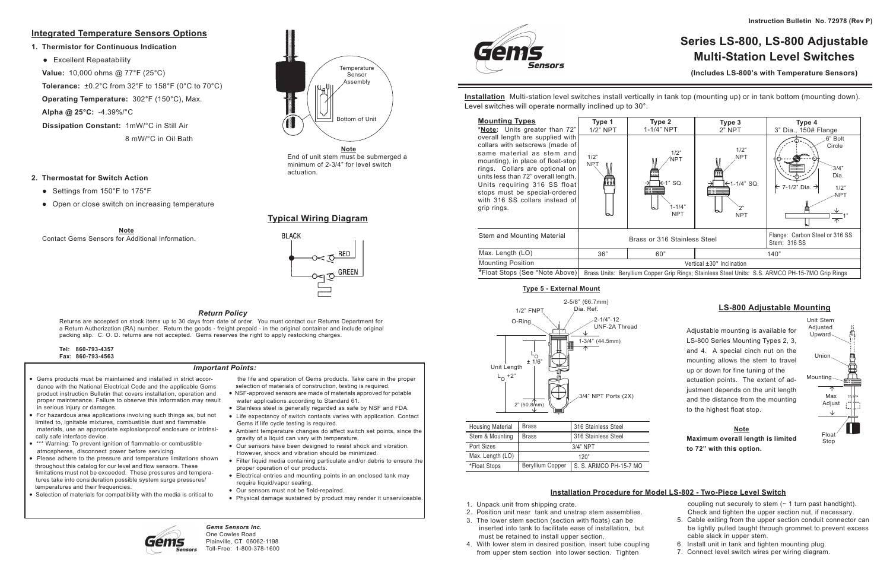# **Series LS-800, LS-800 Adjustable Multi-Station Level Switches**

**(Includes LS-800's with Temperature Sensors)**

**Installation** Multi-station level switches install vertically in tank top (mounting up) or in tank bottom (mounting down). Level switches will operate normally inclined up to 30°.

| <b>Mounting Types</b><br>*Note: Units greater than 72"                                                                                                                                                                                                                                                                           | Type 1<br>1/2" NPT |      |
|----------------------------------------------------------------------------------------------------------------------------------------------------------------------------------------------------------------------------------------------------------------------------------------------------------------------------------|--------------------|------|
| overall length are supplied with<br>collars with setscrews (made of<br>same material as stem and<br>mounting), in place of float-stop<br>rings. Collars are optional on<br>units less than 72" overall length.<br>Units requiring 316 SS float<br>stops must be special-ordered<br>with 316 SS collars instead of<br>grip rings. | 1/2"<br><b>NRT</b> |      |
| Stem and Mounting Material                                                                                                                                                                                                                                                                                                       |                    | Bras |
| Max. Length (LO)                                                                                                                                                                                                                                                                                                                 | 36"                |      |
| <b>Mounting Position</b>                                                                                                                                                                                                                                                                                                         |                    |      |



# **LS-800 Adjustable Mounting**

coupling nut securely to stem  $($   $\sim$  1 turn past handtight). Check and tighten the upper section nut, if necessary.

| <b>Housing Material</b> | <b>Brass</b><br>316 Stainless Steel        |  |  |
|-------------------------|--------------------------------------------|--|--|
| Stem & Mounting         | <b>Brass</b><br>316 Stainless Steel        |  |  |
| Port Sizes              | $3/4"$ NPT                                 |  |  |
| Max. Length (LO)        | 120"                                       |  |  |
| *Float Stops            | Beryllium Copper<br>S. S. ARMCO PH-15-7 MO |  |  |

#### **Type 5 - External Mount**



Adjustable mounting is available for LS-800 Series Mounting Types 2, 3, and 4. A special cinch nut on the mounting allows the stem to travel up or down for fine tuning of the actuation points. The extent of adjustment depends on the unit length and the distance from the mounting to the highest float stop.

#### **Note Maximum overall length is limited to 72" with this option.**



- 1. Unpack unit from shipping crate.
- 2. Position unit near tank and unstrap stem assemblies.
- 3. The lower stem section (section with floats) can be inserted into tank to facilitate ease of installation, but must be retained to install upper section.
- 4. With lower stem in desired position, insert tube coupling from upper stem section into lower section. Tighten
- 5. Cable exiting from the upper section conduit connector can be lightly pulled taught through grommet to prevent excess cable slack in upper stem.
- 6. Install unit in tank and tighten mounting plug.
- 7. Connect level switch wires per wiring diagram.

• Excellent Repeatability  **Value:** 10,000 ohms @ 77°F (25°C)  **Tolerance:** ±0.2°C from 32°F to 158°F (0°C to 70°C) **Operating Temperature:** 302°F (150°C), Max. **Alpha @ 25°C:** -4.39%/°C **Dissipation Constant:** 1mW/°C in Still Air 8 mW/°C in Oil Bath

# **Installation Procedure for Model LS-802 - Two-Piece Level Switch**

*Gems Sensors Inc.* One Cowles Road Plainville, CT 06062-1198 Toll-Free: 1-800-378-1600

iensors

#### *Return Policy*

Returns are accepted on stock items up to 30 days from date of order. You must contact our Returns Department for a Return Authorization (RA) number. Return the goods - freight prepaid - in the original container and include original packing slip. C. O. D. returns are not accepted. Gems reserves the right to apply restocking charges.

| Tel: | 860-793-4357      |
|------|-------------------|
|      | Fax: 860-793-4563 |

- Gems products must be maintained and installed in strict accor dance with the National Electrical Code and the applicable Gems product instruction Bulletin that covers installation, operation and proper maintenance. Failure to observe this information may result in serious injury or damages.
- For hazardous area applications involving such things as, but not limited to, ignitable mixtures, combustible dust and flammable materials, use an appropriate explosionproof enclosure or intrinsi cally safe interface device.
- \*\*\* Warning: To prevent ignition of flammable or combustible atmospheres, disconnect power before servicing.
- Please adhere to the pressure and temperature limitations shown throughout this catalog for our level and flow sensors. These limitations must not be exceeded. These pressures and tempera tures take into consideration possible system surge pressures/ temperatures and their frequencies.
- Selection of materials for compatibility with the media is critical to

 the life and operation of Gems products. Take care in the proper selection of materials of construction, testing is required.

- NSF-approved sensors are made of materials approved for potable water applications according to Standard 61.
- Stainless steel is generally regarded as safe by NSF and FDA.
- Life expectancy of switch contacts varies with application. Contact Gems if life cycle testing is required.
- Ambient temperature changes do affect switch set points, since the gravity of a liquid can vary with temperature.
- Our sensors have been designed to resist shock and vibration. However, shock and vibration should be minimized.
- Filter liquid media containing particulate and/or debris to ensure the proper operation of our products.
- Electrical entries and mounting points in an enclosed tank may require liquid/vapor sealing.
- Our sensors must not be field-repaired.
- Physical damage sustained by product may render it unserviceable.



#### *Important Points:*

# **Integrated Temperature Sensors Options**

#### **1. Thermistor for Continuous Indication**

#### **2. Thermostat for Switch Action**

- Settings from 150°F to 175°F
- Open or close switch on increasing temperature

# **Typical Wiring Diagram**

# **BLACK**  $\times$  O RED

**Note** Contact Gems Sensors for Additional Information.



End of unit stem must be submerged a minimum of 2-3/4" for level switch actuation.